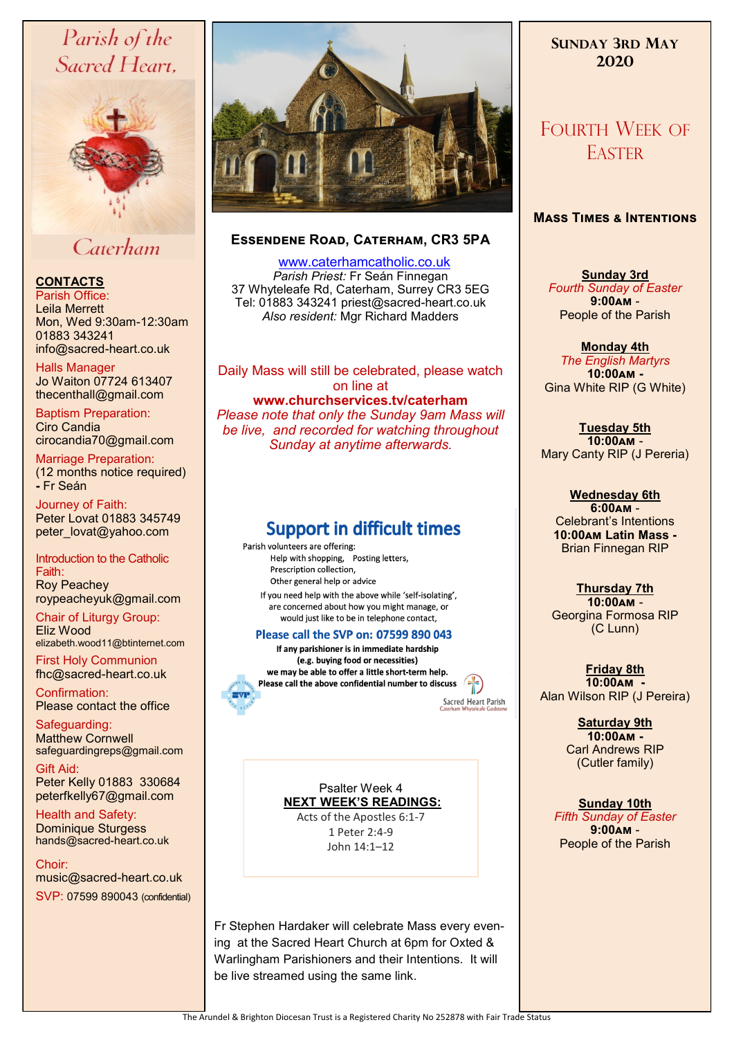# Parish of the Sacred Heart,



# Caterham

## **CONTACTS**

Parish Office: Leila Merrett Mon, Wed 9:30am-12:30am 01883 343241 info@sacred-heart.co.uk .

Halls Manager Jo Waiton 07724 613407 thecenthall@gmail.com

Baptism Preparation: Ciro Candia cirocandia70@gmail.com

Marriage Preparation: (12 months notice required) **-** Fr Seán

Journey of Faith: Peter Lovat 01883 345749 peter\_lovat@yahoo.com

#### Introduction to the Catholic Faith: Roy Peachey roypeacheyuk@gmail.com

Chair of Liturgy Group: Eliz Wood elizabeth.wood11@btinternet.com

First Holy Communion fhc@sacred-heart.co.uk

Confirmation: Please contact the office

Safeguarding: Matthew Cornwell safeguardingreps@gmail.com

Gift Aid: Peter Kelly 01883 330684 peterfkelly67@gmail.com

Health and Safety: Dominique Sturgess hands@sacred-heart.co.uk

Choir: music@sacred-heart.co.uk SVP: 07599 890043 (confidential)



## **Essendene Road, Caterham, CR3 5PA**

 [www.caterhamcatholic.co.uk](http://Www.caterhamcatholic.co.uk) *Parish Priest:* Fr Seán Finnegan 37 Whyteleafe Rd, Caterham, Surrey CR3 5EG Tel: 01883 343241 priest@sacred-heart.co.uk *Also resident:* Mgr Richard Madders

Daily Mass will still be celebrated, please watch on line at **www.churchservices.tv/caterham**  *Please note that only the Sunday 9am Mass will be live, and recorded for watching throughout Sunday at anytime afterwards.* 

# **Support in difficult times**

Parish volunteers are offering: Help with shopping, Posting letters, Prescription collection. Other general help or advice If you need help with the above while 'self-isolating', are concerned about how you might manage, or would just like to be in telephone contact,

#### Please call the SVP on: 07599 890 043

If any parishioner is in immediate hardship (e.g. buying food or necessities) we may be able to offer a little short-term help. Please call the above confidential number to discuss

Sacred Heart Parish

Psalter Week 4 **NEXT WEEK'S READINGS:** 

Acts of the Apostles 6:1-7 1 Peter 2:4-9 John 14:1–12

Fr Stephen Hardaker will celebrate Mass every evening at the Sacred Heart Church at 6pm for Oxted & Warlingham Parishioners and their Intentions. It will be live streamed using the same link.

# **SUNDAY 3RD MAY 2020**

# FOURTH WEEK OF **EASTER**

## **Mass Times & Intentions**

**Sunday 3rd**  *Fourth Sunday of Easter* **9:00am** - People of the Parish

**Monday 4th**  *The English Martyrs* **10:00am -** Gina White RIP (G White)

**Tuesday 5th 10:00am** - Mary Canty RIP (J Pereria)

**Wednesday 6th 6:00am** - Celebrant's Intentions **10:00am Latin Mass -** Brian Finnegan RIP

**Thursday 7th 10:00am** - Georgina Formosa RIP (C Lunn)

**Friday 8th 10:00am -** Alan Wilson RIP (J Pereira)

> **Saturday 9th 10:00am -**  Carl Andrews RIP (Cutler family)

**Sunday 10th**  *Fifth Sunday of Easter* **9:00am** - People of the Parish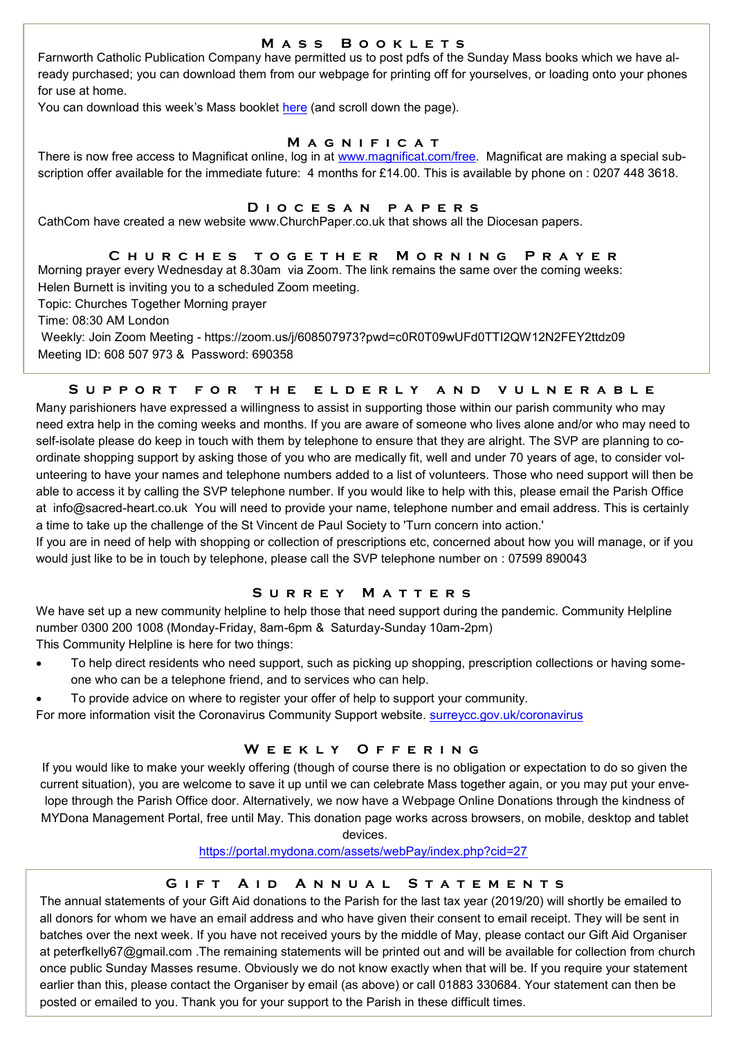### **M a s s B o o k l e t s**

Farnworth Catholic Publication Company have permitted us to post pdfs of the Sunday Mass books which we have already purchased; you can download them from our webpage for printing off for yourselves, or loading onto your phones for use at home.

You can download this week's Mass booklet [here](http://www.caterhamcatholic.co.uk/Sacred_Heart_Catholic_Church/public.html) (and scroll down the page).

#### **M a g n i f i c a t**

There is now free access to Magnificat online, log in at [www.magnificat.com/free.](https://us.magnificat.net/free) Magnificat are making a special subscription offer available for the immediate future: 4 months for £14.00. This is available by phone on : 0207 448 3618.

#### **D i o c e s a n p a p e r s**

CathCom have created a new website www.ChurchPaper.co.uk that shows all the Diocesan papers.

## **C h u r c h e s t o g e t h e r M o r n i n g P r a y e r**

Morning prayer every Wednesday at 8.30am via Zoom. The link remains the same over the coming weeks: Helen Burnett is inviting you to a scheduled Zoom meeting.

Topic: Churches Together Morning prayer

Time: 08:30 AM London

Weekly: Join Zoom Meeting - https://zoom.us/j/608507973?pwd=c0R0T09wUFd0TTI2QW12N2FEY2ttdz09 Meeting ID: 608 507 973 & Password: 690358

## **S u p p o r t f o r t h e e l d e r l y a n d v u l n e r a b l e**

Many parishioners have expressed a willingness to assist in supporting those within our parish community who may need extra help in the coming weeks and months. If you are aware of someone who lives alone and/or who may need to self-isolate please do keep in touch with them by telephone to ensure that they are alright. The SVP are planning to coordinate shopping support by asking those of you who are medically fit, well and under 70 years of age, to consider volunteering to have your names and telephone numbers added to a list of volunteers. Those who need support will then be able to access it by calling the SVP telephone number. If you would like to help with this, please email the Parish Office at info@sacred-heart.co.uk You will need to provide your name, telephone number and email address. This is certainly a time to take up the challenge of the St Vincent de Paul Society to 'Turn concern into action.'

If you are in need of help with shopping or collection of prescriptions etc, concerned about how you will manage, or if you would just like to be in touch by telephone, please call the SVP telephone number on : 07599 890043

## **S u r r e y M a t t e r s**

We have set up a new community helpline to help those that need support during the pandemic. Community Helpline number 0300 200 1008 (Monday-Friday, 8am-6pm & Saturday-Sunday 10am-2pm)

This Community Helpline is here for two things:

- To help direct residents who need support, such as picking up shopping, prescription collections or having someone who can be a telephone friend, and to services who can help.
- To provide advice on where to register your offer of help to support your community.

For more information visit the Coronavirus Community Support website. <surreycc.gov.uk/coronavirus>

## **W e e k l y O f f e r i n g**

If you would like to make your weekly offering (though of course there is no obligation or expectation to do so given the current situation), you are welcome to save it up until we can celebrate Mass together again, or you may put your envelope through the Parish Office door. Alternatively, we now have a Webpage Online Donations through the kindness of MYDona Management Portal, free until May. This donation page works across browsers, on mobile, desktop and tablet

devices.

#### <https://portal.mydona.com/assets/webPay/index.php?cid=27>

### **GIFT AID ANNUAL STATEMENTS**

The annual statements of your Gift Aid donations to the Parish for the last tax year (2019/20) will shortly be emailed to all donors for whom we have an email address and who have given their consent to email receipt. They will be sent in batches over the next week. If you have not received yours by the middle of May, please contact our Gift Aid Organiser at peterfkelly67@gmail.com .The remaining statements will be printed out and will be available for collection from church once public Sunday Masses resume. Obviously we do not know exactly when that will be. If you require your statement earlier than this, please contact the Organiser by email (as above) or call 01883 330684. Your statement can then be posted or emailed to you. Thank you for your support to the Parish in these difficult times.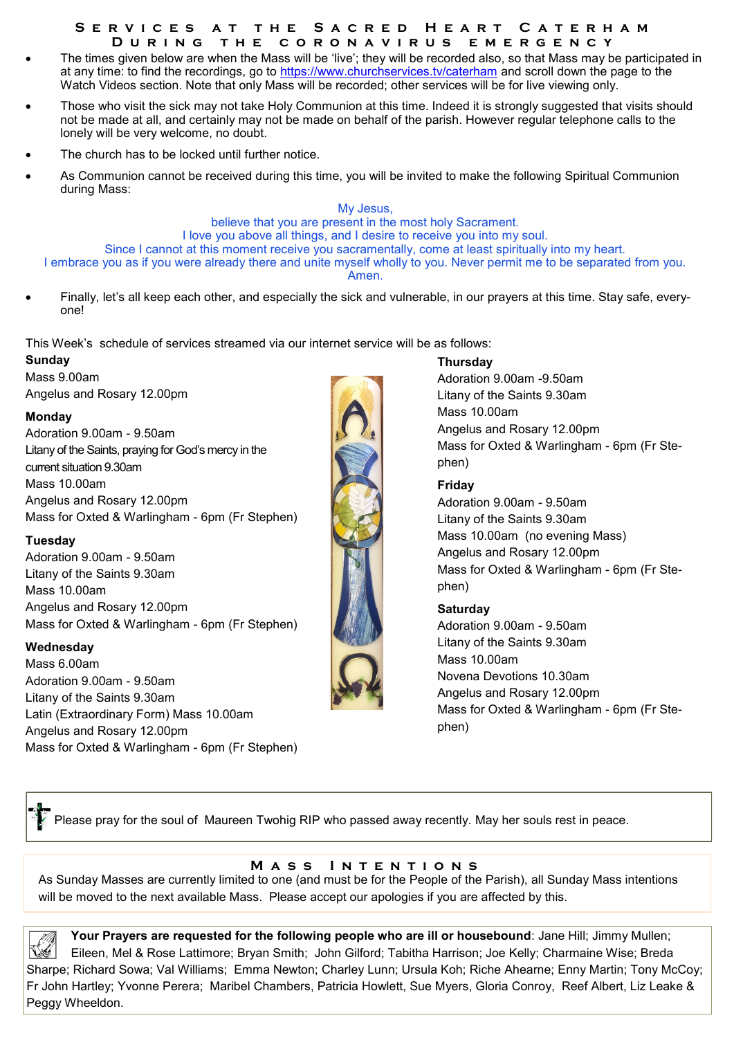#### **S e r v i c e s a t t h e S a c r e d H e a r t C a t e r h a m D u r i n g t h e c o r o n a v i r u s e m e r g e n c y**

- The times given below are when the Mass will be 'live'; they will be recorded also, so that Mass may be participated in at any time: to find the recordings, go to<https://www.churchservices.tv/caterham> and scroll down the page to the Watch Videos section. Note that only Mass will be recorded; other services will be for live viewing only.
- Those who visit the sick may not take Holy Communion at this time. Indeed it is strongly suggested that visits should not be made at all, and certainly may not be made on behalf of the parish. However regular telephone calls to the lonely will be very welcome, no doubt.
- The church has to be locked until further notice.
- As Communion cannot be received during this time, you will be invited to make the following Spiritual Communion during Mass:

My Jesus, believe that you are present in the most holy Sacrament. I love you above all things, and I desire to receive you into my soul. Since I cannot at this moment receive you sacramentally, come at least spiritually into my heart. I embrace you as if you were already there and unite myself wholly to you. Never permit me to be separated from you. Amen.

 Finally, let's all keep each other, and especially the sick and vulnerable, in our prayers at this time. Stay safe, everyone!

This Week's schedule of services streamed via our internet service will be as follows:

**Sunday** Mass 9.00am Angelus and Rosary 12.00pm

#### **Monday**

Adoration 9.00am - 9.50am Litany of the Saints, praying for God's mercy in the current situation 9.30am Mass 10.00am Angelus and Rosary 12.00pm Mass for Oxted & Warlingham - 6pm (Fr Stephen)

### **Tuesday**

Adoration 9.00am - 9.50am Litany of the Saints 9.30am Mass 10.00am Angelus and Rosary 12.00pm Mass for Oxted & Warlingham - 6pm (Fr Stephen)

#### **Wednesday**

L

Mass 6.00am Adoration 9.00am - 9.50am Litany of the Saints 9.30am Latin (Extraordinary Form) Mass 10.00am Angelus and Rosary 12.00pm Mass for Oxted & Warlingham - 6pm (Fr Stephen)



#### **Thursday**

Adoration 9.00am -9.50am Litany of the Saints 9.30am Mass 10.00am Angelus and Rosary 12.00pm Mass for Oxted & Warlingham - 6pm (Fr Stephen)

### **Friday**

Adoration 9.00am - 9.50am Litany of the Saints 9.30am Mass 10.00am (no evening Mass) Angelus and Rosary 12.00pm Mass for Oxted & Warlingham - 6pm (Fr Stephen)

### **Saturday**

Adoration 9.00am - 9.50am Litany of the Saints 9.30am Mass 10.00am Novena Devotions 10.30am Angelus and Rosary 12.00pm Mass for Oxted & Warlingham - 6pm (Fr Stephen)

Please pray for the soul of Maureen Twohig RIP who passed away recently. May her souls rest in peace.

## **MASS INTENTIONS**

As Sunday Masses are currently limited to one (and must be for the People of the Parish), all Sunday Mass intentions will be moved to the next available Mass. Please accept our apologies if you are affected by this.

Your Prayers are requested for the following people who are ill or housebound: Jane Hill; Jimmy Mullen; Eileen, Mel & Rose Lattimore; Bryan Smith; John Gilford; Tabitha Harrison; Joe Kelly; Charmaine Wise; Breda Sharpe; Richard Sowa; Val Williams; Emma Newton; Charley Lunn; Ursula Koh; Riche Ahearne; Enny Martin; Tony McCoy; Fr John Hartley; Yvonne Perera; Maribel Chambers, Patricia Howlett, Sue Myers, Gloria Conroy, Reef Albert, Liz Leake & Peggy Wheeldon.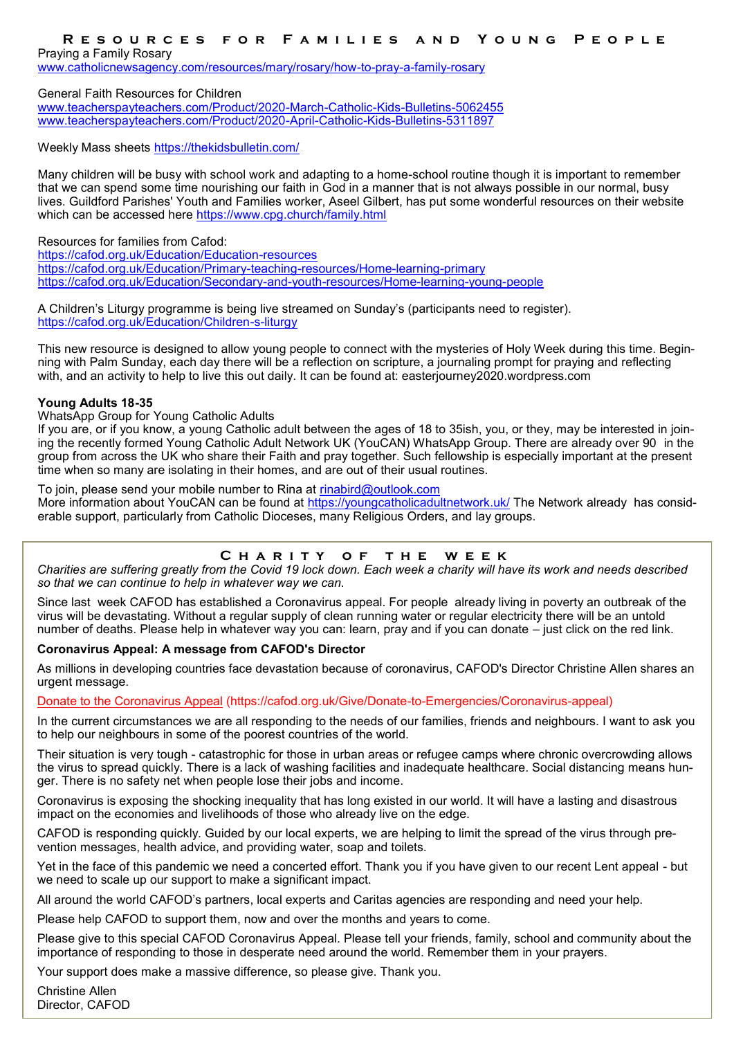### RESOURCES FOR FAMILIES AND YOUNG PEOPLE

Praying a Family Rosary

[www.catholicnewsagency.com/resources/mary/rosary/how](http://www.catholicnewsagency.com/resources/mary/rosary/how-to-pray-a-family-rosary)-to-pray-a-family-rosary

General Faith Resources for Children

[www.teacherspayteachers.com/Product/2020](http://www.teacherspayteachers.com/Product/2020-March-Catholic-Kids-Bulletins-5062455)-March-Catholic-Kids-Bulletins-5062455 [www.teacherspayteachers.com/Product/2020](http://www.teacherspayteachers.com/Product/2020-April-Catholic-Kids-Bulletins-5311897)-April-Catholic-Kids-Bulletins-5311897

Weekly Mass sheets <https://thekidsbulletin.com/>

Many children will be busy with school work and adapting to a home-school routine though it is important to remember that we can spend some time nourishing our faith in God in a manner that is not always possible in our normal, busy lives. Guildford Parishes' Youth and Families worker, Aseel Gilbert, has put some wonderful resources on their website which can be accessed here <https://www.cpg.church/family.html>

Resources for families from Cafod:

[https://cafod.org.uk/Education/Education](https://cafod.org.uk/Education/Education-resources)-resources [https://cafod.org.uk/Education/Primary](https://cafod.org.uk/Education/Primary-teaching-resources/Home-learning-primary)-teaching-resources/Home-learning-primary [https://cafod.org.uk/Education/Secondary](https://cafod.org.uk/Education/Secondary-and-youth-resources/Home-learning-young-people)-and-youth-resources/Home-learning-young-people

A Children's Liturgy programme is being live streamed on Sunday's (participants need to register). [https://cafod.org.uk/Education/Children](https://cafod.org.uk/Education/Children-s-liturgy)-s-liturgy

This new resource is designed to allow young people to connect with the mysteries of Holy Week during this time. Beginning with Palm Sunday, each day there will be a reflection on scripture, a journaling prompt for praying and reflecting with, and an activity to help to live this out daily. It can be found at: easterjourney2020.wordpress.com

#### **Young Adults 18-35**

WhatsApp Group for Young Catholic Adults

If you are, or if you know, a young Catholic adult between the ages of 18 to 35ish, you, or they, may be interested in joining the recently formed Young Catholic Adult Network UK (YouCAN) WhatsApp Group. There are already over 90 in the group from across the UK who share their Faith and pray together. Such fellowship is especially important at the present time when so many are isolating in their homes, and are out of their usual routines.

To join, please send your mobile number to Rina at [rinabird@outlook.com](mailto:rinabird@outlook.com?subject=YouCAN)

More information about YouCAN can be found at <https://youngcatholicadultnetwork.uk/> The Network already has considerable support, particularly from Catholic Dioceses, many Religious Orders, and lay groups.

### **C h a r i t y o f t h e w e e k**

*Charities are suffering greatly from the Covid 19 lock down. Each week a charity will have its work and needs described so that we can continue to help in whatever way we can.*

Since last week CAFOD has established a Coronavirus appeal. For people already living in poverty an outbreak of the virus will be devastating. Without a regular supply of clean running water or regular electricity there will be an untold number of deaths. Please help in whatever way you can: learn, pray and if you can donate – just click on the red link.

#### **Coronavirus Appeal: A message from CAFOD's Director**

As millions in developing countries face devastation because of coronavirus, CAFOD's Director Christine Allen shares an urgent message.

[Donate to the Coronavirus Appeal](https://cafod.org.uk/Give/Donate-to-Emergencies/Coronavirus-appeal) (https://cafod.org.uk/Give/Donate-to-Emergencies/Coronavirus-appeal)

In the current circumstances we are all responding to the needs of our families, friends and neighbours. I want to ask you to help our neighbours in some of the poorest countries of the world.

Their situation is very tough - catastrophic for those in urban areas or refugee camps where chronic overcrowding allows the virus to spread quickly. There is a lack of washing facilities and inadequate healthcare. Social distancing means hunger. There is no safety net when people lose their jobs and income.

Coronavirus is exposing the shocking inequality that has long existed in our world. It will have a lasting and disastrous impact on the economies and livelihoods of those who already live on the edge.

CAFOD is responding quickly. Guided by our local experts, we are helping to limit the spread of the virus through prevention messages, health advice, and providing water, soap and toilets.

Yet in the face of this pandemic we need a concerted effort. Thank you if you have given to our recent Lent appeal - but we need to scale up our support to make a significant impact.

All around the world CAFOD's partners, local experts and Caritas agencies are responding and need your help.

Please help CAFOD to support them, now and over the months and years to come.

Please give to this special CAFOD Coronavirus Appeal. Please tell your friends, family, school and community about the importance of responding to those in desperate need around the world. Remember them in your prayers.

Your support does make a massive difference, so please give. Thank you.

Christine Allen Director, CAFOD